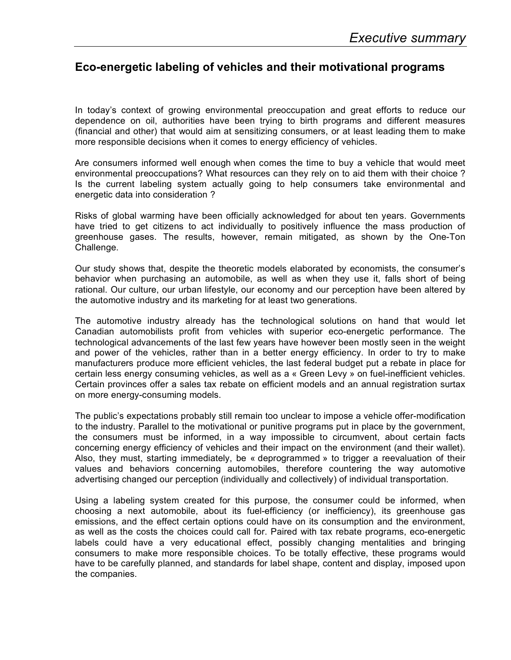## **Eco-energetic labeling of vehicles and their motivational programs**

In today's context of growing environmental preoccupation and great efforts to reduce our dependence on oil, authorities have been trying to birth programs and different measures (financial and other) that would aim at sensitizing consumers, or at least leading them to make more responsible decisions when it comes to energy efficiency of vehicles.

Are consumers informed well enough when comes the time to buy a vehicle that would meet environmental preoccupations? What resources can they rely on to aid them with their choice ? Is the current labeling system actually going to help consumers take environmental and energetic data into consideration ?

Risks of global warming have been officially acknowledged for about ten years. Governments have tried to get citizens to act individually to positively influence the mass production of greenhouse gases. The results, however, remain mitigated, as shown by the One-Ton Challenge.

Our study shows that, despite the theoretic models elaborated by economists, the consumer's behavior when purchasing an automobile, as well as when they use it, falls short of being rational. Our culture, our urban lifestyle, our economy and our perception have been altered by the automotive industry and its marketing for at least two generations.

The automotive industry already has the technological solutions on hand that would let Canadian automobilists profit from vehicles with superior eco-energetic performance. The technological advancements of the last few years have however been mostly seen in the weight and power of the vehicles, rather than in a better energy efficiency. In order to try to make manufacturers produce more efficient vehicles, the last federal budget put a rebate in place for certain less energy consuming vehicles, as well as a « Green Levy » on fuel-inefficient vehicles. Certain provinces offer a sales tax rebate on efficient models and an annual registration surtax on more energy-consuming models.

The public's expectations probably still remain too unclear to impose a vehicle offer-modification to the industry. Parallel to the motivational or punitive programs put in place by the government, the consumers must be informed, in a way impossible to circumvent, about certain facts concerning energy efficiency of vehicles and their impact on the environment (and their wallet). Also, they must, starting immediately, be « deprogrammed » to trigger a reevaluation of their values and behaviors concerning automobiles, therefore countering the way automotive advertising changed our perception (individually and collectively) of individual transportation.

Using a labeling system created for this purpose, the consumer could be informed, when choosing a next automobile, about its fuel-efficiency (or inefficiency), its greenhouse gas emissions, and the effect certain options could have on its consumption and the environment, as well as the costs the choices could call for. Paired with tax rebate programs, eco-energetic labels could have a very educational effect, possibly changing mentalities and bringing consumers to make more responsible choices. To be totally effective, these programs would have to be carefully planned, and standards for label shape, content and display, imposed upon the companies.